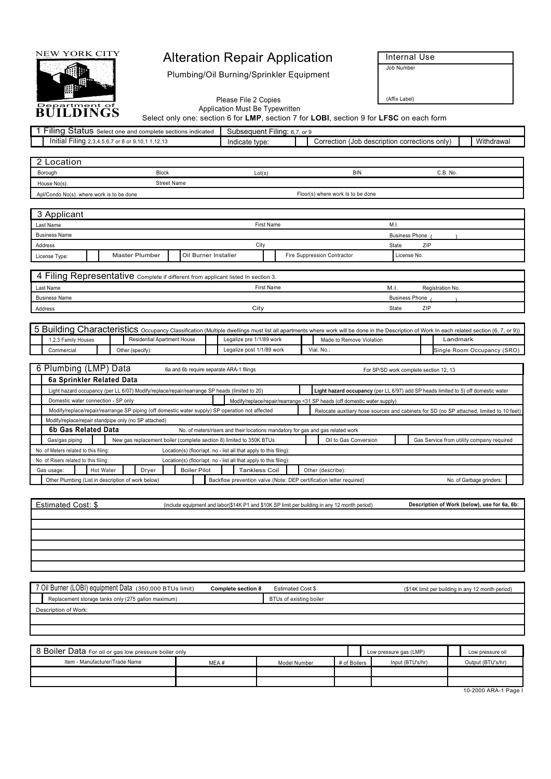

## NEW YORK CITY **Alteration Repair Application Internal Use**

| $- \cdot \cdot$<br>Status<br>llina.<br>t one and complete sections indicated *<br>Select                     | Subsequent<br>Filina.<br>ບ. ເ | . ⊍                                                             |
|--------------------------------------------------------------------------------------------------------------|-------------------------------|-----------------------------------------------------------------|
| $- \cdot \cdot \cdot$<br>Initia<br>ılına<br>1.12.13<br>. or 8 or <sup>o</sup><br>. "udi -<br>. د.ن.+.ن.<br>. | Indicate type:                | Withdrawa<br>(Job description corrections only) ١<br>Correction |

| NEW YORK CITY                                                                                                                                                                             |                                                                      |                                                                                               |                   |                                        |              |       |                                               |                                                                                          |
|-------------------------------------------------------------------------------------------------------------------------------------------------------------------------------------------|----------------------------------------------------------------------|-----------------------------------------------------------------------------------------------|-------------------|----------------------------------------|--------------|-------|-----------------------------------------------|------------------------------------------------------------------------------------------|
|                                                                                                                                                                                           |                                                                      | <b>Alteration Repair Application</b>                                                          |                   |                                        |              |       | Internal Use<br>Job Number                    |                                                                                          |
|                                                                                                                                                                                           |                                                                      | Plumbing/Oil Burning/Sprinkler Equipment                                                      |                   |                                        |              |       |                                               |                                                                                          |
|                                                                                                                                                                                           |                                                                      | Please File 2 Copies<br>Application Must Be Typewritten                                       |                   |                                        |              |       | (Affix Label)                                 |                                                                                          |
| BUILDINGS                                                                                                                                                                                 |                                                                      | Select only one: section 6 for LMP, section 7 for LOBI, section 9 for LFSC on each form       |                   |                                        |              |       |                                               |                                                                                          |
| 1 Filing Status Select one and complete sections indicated<br>Initial Filing 2,3,4,5,6,7 or 8 or 9,10,1 1,12,13                                                                           |                                                                      | Subsequent Filing: 6,7, or 9<br>Indicate type:                                                |                   |                                        |              |       | Correction (Job description corrections only) | Withdrawal                                                                               |
| 2 Location                                                                                                                                                                                |                                                                      |                                                                                               |                   |                                        |              |       |                                               |                                                                                          |
| Borough                                                                                                                                                                                   | Block                                                                | Lot(s)                                                                                        |                   |                                        | <b>BIN</b>   |       |                                               | C.B. No.                                                                                 |
| House No(s).<br>Apl/Condo No(s). where work is to be done                                                                                                                                 | <b>Street Name</b>                                                   |                                                                                               |                   | Floor(s) where work Is to be done      |              |       |                                               |                                                                                          |
| 3 Applicant                                                                                                                                                                               |                                                                      |                                                                                               |                   |                                        |              |       |                                               |                                                                                          |
| Last Name                                                                                                                                                                                 |                                                                      | First Name                                                                                    |                   |                                        |              | M.I.  |                                               |                                                                                          |
| <b>Business Name</b><br>Address                                                                                                                                                           |                                                                      | City                                                                                          |                   |                                        |              | State | <b>Business Phone</b><br>ZIP                  |                                                                                          |
| License Type:                                                                                                                                                                             | Master Plumber                                                       | Oil Burner Installer                                                                          |                   | Fire Suppression Contractor            |              |       | License No.                                   |                                                                                          |
| 4 Filing Representative Complete if different from applicant listed In section 3.                                                                                                         |                                                                      |                                                                                               |                   |                                        |              |       |                                               |                                                                                          |
| Last Name<br><b>Business Name</b>                                                                                                                                                         |                                                                      | <b>First Name</b>                                                                             |                   |                                        |              | M.I.  | <b>Business Phone</b>                         | Registration No.                                                                         |
| Address                                                                                                                                                                                   |                                                                      | City                                                                                          |                   |                                        |              | State | ZIP                                           |                                                                                          |
| 5 Building Characteristics Occupancy Classification (Multiple dwellings must list all apartments where work will be done in the Description of Work In each related section (6, 7, or 9)) |                                                                      |                                                                                               |                   |                                        |              |       |                                               |                                                                                          |
| 1,2,3 Family Houses<br>Commercial                                                                                                                                                         | Residential Apartment House<br>Other (specify):                      | Legalize pre 1/1/89 work<br>Legalize post 1/1/89 work                                         |                   | Made to Remove Violation<br>Vial. No.: |              |       |                                               | Landmark<br>Single Room Occupancy (SRO)                                                  |
| 6 Plumbing (LMP) Data                                                                                                                                                                     |                                                                      | 6a and 6b require separate ARA-1 filings                                                      |                   |                                        |              |       | For SP/SD work complete section 12, 13        |                                                                                          |
| 6a Sprinkler Related Data                                                                                                                                                                 |                                                                      |                                                                                               |                   |                                        |              |       |                                               |                                                                                          |
| Light hazard occupancy (per LL 6/07) Modify/replace/repair/rearrange SP heads (limited to 20)<br>Domestic water connection - SP only                                                      |                                                                      | Modify/replace/repair/rearrange <31 SP heads (off domestic water supply)                      |                   |                                        |              |       |                                               | Light hazard occupancy (per LL 6/97) add SP heads limited to 5) off domestic water       |
| Modify/replace/repair/rearrange SP piping (off domestic water supply) SP operation not affected<br>Modify/replace/repair standpipe only (no SP attached)                                  |                                                                      |                                                                                               |                   |                                        |              |       |                                               | Relocate auxiliary hose sources and cabinets for SD (no SP attached, limited to 10 feet) |
| 6b Gas Related Data                                                                                                                                                                       |                                                                      | No. of meters/risers and their locations mandatory for gas and gas related work               |                   |                                        |              |       |                                               |                                                                                          |
| Gas/gas piping<br>No. of Meters related to this filing:                                                                                                                                   | New gas replacement boiler (complete section 8) limited to 350K BTUs | Location(s) (floor/apt. no - list all that apply to this filing):                             |                   | Oil to Gas Conversion                  |              |       |                                               | Gas Service from utility company required                                                |
| No. of Risers related to this filing:<br>Hot Water<br>Gas usage:                                                                                                                          | Dryer<br><b>Boiler Pilot</b>                                         | Location(s) (floor/apt. no - list all that apply to this filing):<br><b>Tankless Coil</b>     |                   | Other (describe):                      |              |       |                                               |                                                                                          |
| Other Plumbing (List in description of work below)                                                                                                                                        |                                                                      | Backflow prevention valve (Note: DEP certification letter required)                           |                   |                                        |              |       |                                               | No. of Garbage grinders:                                                                 |
| Estimated Cost: \$                                                                                                                                                                        |                                                                      | (include equipment and labor(\$14K P1 and \$10K SP limit per building in any 12 month period) |                   |                                        |              |       |                                               | Description of Work (below), use for 6a, 6b:                                             |
|                                                                                                                                                                                           |                                                                      |                                                                                               |                   |                                        |              |       |                                               |                                                                                          |
|                                                                                                                                                                                           |                                                                      |                                                                                               |                   |                                        |              |       |                                               |                                                                                          |
|                                                                                                                                                                                           |                                                                      |                                                                                               |                   |                                        |              |       |                                               |                                                                                          |
|                                                                                                                                                                                           |                                                                      |                                                                                               |                   |                                        |              |       |                                               |                                                                                          |
| 7 Oil Burner (LOBI) equipment Data (350,000 BTUs limit)                                                                                                                                   |                                                                      | Complete section 8                                                                            | Estimated Cost \$ |                                        |              |       |                                               | (\$14K limit per building in any 12 month period)                                        |
| Replacement storage tanks only (275 gallon maximum)<br>Description of Work:                                                                                                               |                                                                      | BTUs of existing boiler                                                                       |                   |                                        |              |       |                                               |                                                                                          |
|                                                                                                                                                                                           |                                                                      |                                                                                               |                   |                                        |              |       |                                               |                                                                                          |
|                                                                                                                                                                                           |                                                                      |                                                                                               |                   |                                        |              |       |                                               |                                                                                          |
| 8 Boiler Data For oil or gas low pressure boiler only                                                                                                                                     |                                                                      |                                                                                               |                   |                                        |              |       | Low pressure gas (LMP)                        | Low pressure oil                                                                         |
| Item - Manufacturer/Trade Name                                                                                                                                                            |                                                                      | MEA#                                                                                          | Model Number      |                                        | # of Boilers |       | Input (BTU's/hr)                              | Output (BTU's/hr)                                                                        |
|                                                                                                                                                                                           |                                                                      |                                                                                               |                   |                                        |              |       |                                               | 10-2000 ARA-1 Page I                                                                     |
|                                                                                                                                                                                           |                                                                      |                                                                                               |                   |                                        |              |       |                                               |                                                                                          |

| <b>O</b> DUILET Data For oil or gas low pressure boiler only |      |              |              | Low pressure gas (LMP) | Low pressure oil  |
|--------------------------------------------------------------|------|--------------|--------------|------------------------|-------------------|
| Item - Manufacturer/Trade Name                               | MEA# | Model Number | # of Boilers | Input (BTU's/hr)       | Output (BTU's/hr) |
|                                                              |      |              |              |                        |                   |
|                                                              |      |              |              |                        |                   |